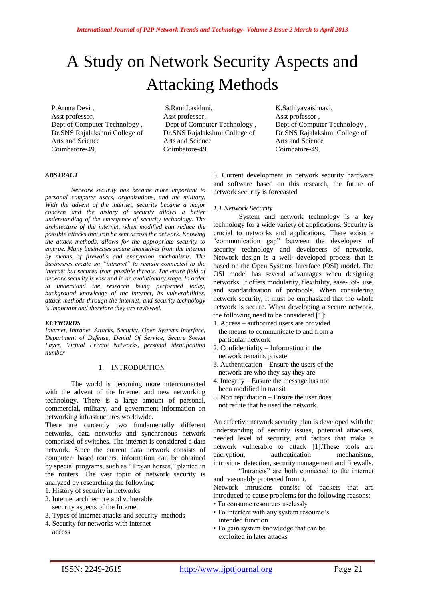# A Study on Network Security Aspects and Attacking Methods

P.Aruna Devi , Asst professor, Dept of Computer Technology , Dr.SNS Rajalakshmi College of Arts and Science Coimbatore-49.

S.Rani Laskhmi, Asst professor, Dept of Computer Technology , Dr.SNS Rajalakshmi College of Arts and Science Coimbatore-49.

K.Sathiyavaishnavi, Asst professor , Dept of Computer Technology , Dr.SNS Rajalakshmi College of Arts and Science Coimbatore-49.

#### *ABSTRACT*

*Network security has become more important to personal computer users, organizations, and the military. With the advent of the internet, security became a major concern and the history of security allows a better understanding of the emergence of security technology. The architecture of the internet, when modified can reduce the possible attacks that can be sent across the network. Knowing the attack methods, allows for the appropriate security to emerge. Many businesses secure themselves from the internet by means of firewalls and encryption mechanisms. The businesses create an "intranet" to remain connected to the internet but secured from possible threats. The entire field of network security is vast and in an evolutionary stage. In order to understand the research being performed today, background knowledge of the internet, its vulnerabilities, attack methods through the internet, and security technology is important and therefore they are reviewed.*

## *KEYWORDS*

*Internet, Intranet, Attacks, Security, Open Systems Interface, Department of Defense, Denial Of Service, Secure Socket Layer, Virtual Private Networks, personal identification number*

# 1. INTRODUCTION

The world is becoming more interconnected with the advent of the Internet and new networking technology. There is a large amount of personal, commercial, military, and government information on networking infrastructures worldwide.

There are currently two fundamentally different networks, data networks and synchronous network comprised of switches. The internet is considered a data network. Since the current data network consists of computer‐ based routers, information can be obtained by special programs, such as "Trojan horses," planted in the routers. The vast topic of network security is analyzed by researching the following:

1. History of security in networks

- 2. Internet architecture and vulnerable security aspects of the Internet
- 3. Types of internet attacks and security methods
- 4. Security for networks with internet access

5. Current development in network security hardware and software based on this research, the future of network security is forecasted

#### *1.1 Network Security*

System and network technology is a key technology for a wide variety of applications. Security is crucial to networks and applications. There exists a "communication gap" between the developers of security technology and developers of networks. Network design is a well‐ developed process that is based on the Open Systems Interface (OSI) model. The OSI model has several advantages when designing networks. It offers modularity, flexibility, ease‐ of‐ use, and standardization of protocols. When considering network security, it must be emphasized that the whole network is secure. When developing a secure network, the following need to be considered [1]:

- 1. Access authorized users are provided the means to communicate to and from a particular network
- 2. Confidentiality Information in the network remains private
- 3. Authentication Ensure the users of the network are who they say they are
- 4. Integrity Ensure the message has not been modified in transit
- 5. Non repudiation Ensure the user does
	- not refute that he used the network.

An effective network security plan is developed with the understanding of security issues, potential attackers, needed level of security, and factors that make a network vulnerable to attack [1].These tools are encryption, authentication mechanisms, intrusion‐ detection, security management and firewalls.

"Intranets" are both connected to the internet and reasonably protected from it.

Network intrusions consist of packets that are introduced to cause problems for the following reasons:

- To consume resources uselessly
- To interfere with any system resource's intended function
- To gain system knowledge that can be exploited in later attacks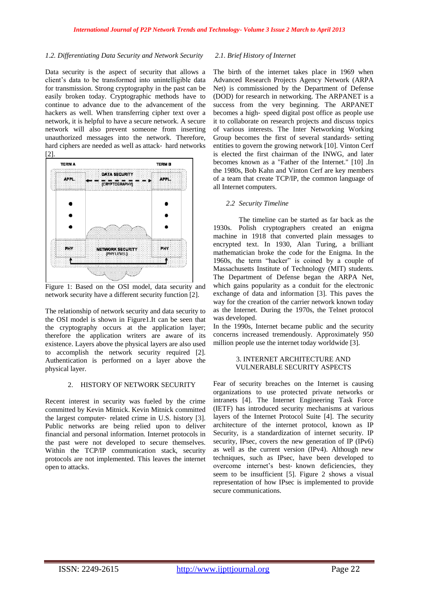# *1.2. Differentiating Data Security and Network Security*

Data security is the aspect of security that allows a client's data to be transformed into unintelligible data for transmission. Strong cryptography in the past can be easily broken today. Cryptographic methods have to continue to advance due to the advancement of the hackers as well. When transferring cipher text over a network, it is helpful to have a secure network. A secure network will also prevent someone from inserting unauthorized messages into the network. Therefore, hard ciphers are needed as well as attack-hard networks [2].



Figure 1: Based on the OSI model, data security and network security have a different security function [2].

The relationship of network security and data security to the OSI model is shown in Figure1.It can be seen that the cryptography occurs at the application layer; therefore the application writers are aware of its existence. Layers above the physical layers are also used to accomplish the network security required [2]. Authentication is performed on a layer above the physical layer.

## 2. HISTORY OF NETWORK SECURITY

Recent interest in security was fueled by the crime committed by Kevin Mitnick. Kevin Mitnick committed the largest computer‐ related crime in U.S. history [3]. Public networks are being relied upon to deliver financial and personal information. Internet protocols in the past were not developed to secure themselves. Within the TCP/IP communication stack, security protocols are not implemented. This leaves the internet open to attacks.

# *2.1. Brief History of Internet*

The birth of the internet takes place in 1969 when Advanced Research Projects Agency Network (ARPA Net) is commissioned by the Department of Defense (DOD) for research in networking. The ARPANET is a success from the very beginning. The ARPANET becomes a high-speed digital post office as people use it to collaborate on research projects and discuss topics of various interests. The Inter Networking Working Group becomes the first of several standards‐ setting entities to govern the growing network [10]. Vinton Cerf is elected the first chairman of the INWG, and later becomes known as a "Father of the Internet." [10] .In the 1980s, Bob Kahn and Vinton Cerf are key members of a team that create TCP/IP, the common language of all Internet computers.

# *2.2 Security Timeline*

The timeline can be started as far back as the 1930s. Polish cryptographers created an enigma machine in 1918 that converted plain messages to encrypted text. In 1930, Alan Turing, a brilliant mathematician broke the code for the Enigma. In the 1960s, the term "hacker" is coined by a couple of Massachusetts Institute of Technology (MIT) students. The Department of Defense began the ARPA Net, which gains popularity as a conduit for the electronic exchange of data and information [3]. This paves the way for the creation of the carrier network known today as the Internet. During the 1970s, the Telnet protocol was developed.

In the 1990s, Internet became public and the security concerns increased tremendously. Approximately 950 million people use the internet today worldwide [3].

## 3. INTERNET ARCHITECTURE AND VULNERABLE SECURITY ASPECTS

Fear of security breaches on the Internet is causing organizations to use protected private networks or intranets [4]. The Internet Engineering Task Force (IETF) has introduced security mechanisms at various layers of the Internet Protocol Suite [4]. The security architecture of the internet protocol, known as IP Security, is a standardization of internet security. IP security, IPsec, covers the new generation of IP (IPv6) as well as the current version (IPv4). Although new techniques, such as IPsec, have been developed to overcome internet's best‐ known deficiencies, they seem to be insufficient [5]. Figure 2 shows a visual representation of how IPsec is implemented to provide secure communications.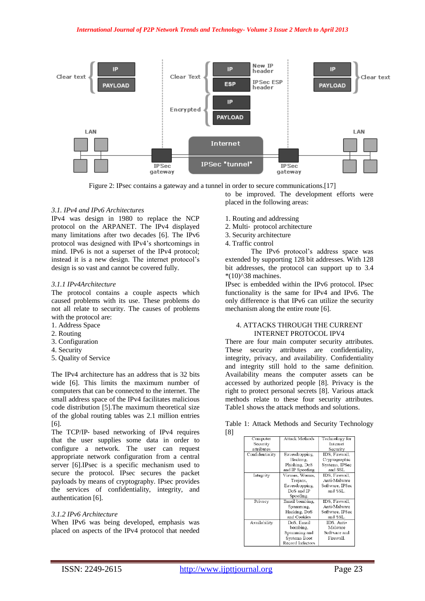

Figure 2: IPsec contains a gateway and a tunnel in order to secure communications.[17]

to be improved. The development efforts were placed in the following areas:

# *3.1. IPv4 and IPv6 Architectures*

IPv4 was design in 1980 to replace the NCP protocol on the ARPANET. The IPv4 displayed many limitations after two decades [6]. The IPv6 protocol was designed with IPv4's shortcomings in mind. IPv6 is not a superset of the IPv4 protocol; instead it is a new design. The internet protocol's design is so vast and cannot be covered fully.

# *3.1.1 IPv4Architecture*

The protocol contains a couple aspects which caused problems with its use. These problems do not all relate to security. The causes of problems with the protocol are:

- 1. Address Space
- 2. Routing
- 3. Configuration
- 4. Security
- 5. Quality of Service

The IPv4 architecture has an address that is 32 bits wide [6]. This limits the maximum number of computers that can be connected to the internet. The small address space of the IPv4 facilitates malicious code distribution [5].The maximum theoretical size of the global routing tables was 2.1 million entries [6].

The TCP/IP‐ based networking of IPv4 requires that the user supplies some data in order to configure a network. The user can request appropriate network configuration from a central server [6].IPsec is a specific mechanism used to secure the protocol. IPsec secures the packet payloads by means of cryptography. IPsec provides the services of confidentiality, integrity, and authentication [6].

# *3.1.2 IPv6 Architecture*

When IPv6 was being developed, emphasis was placed on aspects of the IPv4 protocol that needed

- 1. Routing and addressing
- 2. Multi‐ protocol architecture
- 3. Security architecture
- 4. Traffic control

The IPv6 protocol's address space was extended by supporting 128 bit addresses. With 128 bit addresses, the protocol can support up to 3.4  $*(10)$  $^{\wedge}38$  machines.

IPsec is embedded within the IPv6 protocol. IPsec functionality is the same for IPv4 and IPv6. The only difference is that IPv6 can utilize the security mechanism along the entire route [6].

# 4. ATTACKS THROUGH THE CURRENT INTERNET PROTOCOL IPV4

There are four main computer security attributes. These security attributes are confidentiality, integrity, privacy, and availability. Confidentiality and integrity still hold to the same definition. Availability means the computer assets can be accessed by authorized people [8]. Privacy is the right to protect personal secrets [8]. Various attack methods relate to these four security attributes. Table1 shows the attack methods and solutions.

Table 1: Attack Methods and Security Technology [8]

| Computer        | <b>Attack Methods</b> | Technology for  |
|-----------------|-----------------------|-----------------|
| Security        |                       | Internet        |
| attributes      |                       | Security        |
| Confidentiality | Eavesdropping,        | IDS. Firewall.  |
|                 | Hacking,              | Cryptographic   |
|                 | Phishing, DoS         | Systems, IPSec  |
|                 | and IP Spoofing       | and SSL         |
| Integrity       | Viruses. Worms.       | IDS. Firewall.  |
|                 | Trojans.              | Anti-Malware    |
|                 | Eavesdropping.        | Software, IPSec |
|                 | DoS and IP            | and SSL.        |
|                 | Spoofing.             |                 |
| Privacy         | Email bombing,        | IDS, Firewall,  |
|                 | Spamming,             | Anti-Malware    |
|                 | Hacking, DoS          | Software, IPSec |
|                 | and Cookies           | and SSL.        |
| Availability    | DoS. Email            | IDS. Anti-      |
|                 | bombin≅.              | Malware         |
|                 | Spamming and          | Software and    |
|                 | Systems Boot          | Firewall.       |
|                 | Record Infectors      |                 |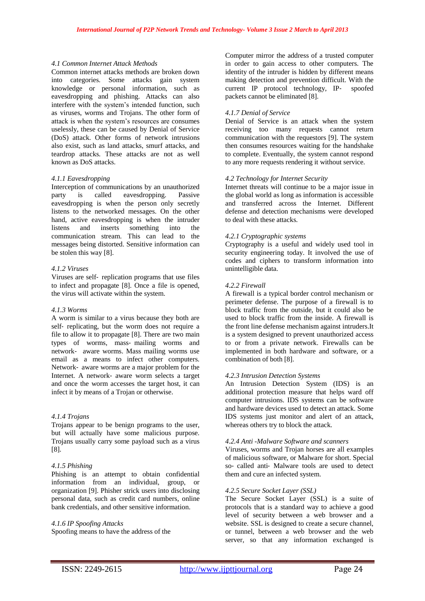#### *4.1 Common Internet Attack Methods*

Common internet attacks methods are broken down into categories. Some attacks gain system knowledge or personal information, such as eavesdropping and phishing. Attacks can also interfere with the system's intended function, such as viruses, worms and Trojans. The other form of attack is when the system's resources are consumes uselessly, these can be caused by Denial of Service (DoS) attack. Other forms of network intrusions also exist, such as land attacks, smurf attacks, and teardrop attacks. These attacks are not as well known as DoS attacks.

#### *4.1.1 Eavesdropping*

Interception of communications by an unauthorized party is called eavesdropping. Passive eavesdropping is when the person only secretly listens to the networked messages. On the other hand, active eavesdropping is when the intruder listens and inserts something into the communication stream. This can lead to the messages being distorted. Sensitive information can be stolen this way [8].

## *4.1.2 Viruses*

Viruses are self‐ replication programs that use files to infect and propagate [8]. Once a file is opened, the virus will activate within the system.

#### *4.1.3 Worms*

A worm is similar to a virus because they both are self- replicating, but the worm does not require a file to allow it to propagate [8]. There are two main types of worms, mass‐ mailing worms and network‐ aware worms. Mass mailing worms use email as a means to infect other computers. Network‐ aware worms are a major problem for the Internet. A network‐ aware worm selects a target and once the worm accesses the target host, it can infect it by means of a Trojan or otherwise.

# *4.1.4 Trojans*

Trojans appear to be benign programs to the user, but will actually have some malicious purpose. Trojans usually carry some payload such as a virus [8].

# *4.1.5 Phishing*

Phishing is an attempt to obtain confidential information from an individual, group, or organization [9]. Phisher strick users into disclosing personal data, such as credit card numbers, online bank credentials, and other sensitive information.

## *4.1.6 IP Spoofing Attacks*

Spoofing means to have the address of the

Computer mirror the address of a trusted computer in order to gain access to other computers. The identity of the intruder is hidden by different means making detection and prevention difficult. With the current IP protocol technology, IP‐ spoofed packets cannot be eliminated [8].

# *4.1.7 Denial of Service*

Denial of Service is an attack when the system receiving too many requests cannot return communication with the requestors [9]. The system then consumes resources waiting for the handshake to complete. Eventually, the system cannot respond to any more requests rendering it without service.

# *4.2 Technology for Internet Security*

Internet threats will continue to be a major issue in the global world as long as information is accessible and transferred across the Internet. Different defense and detection mechanisms were developed to deal with these attacks.

#### *4.2.1 Cryptographic systems*

Cryptography is a useful and widely used tool in security engineering today. It involved the use of codes and ciphers to transform information into unintelligible data.

# *4.2.2 Firewall*

A firewall is a typical border control mechanism or perimeter defense. The purpose of a firewall is to block traffic from the outside, but it could also be used to block traffic from the inside. A firewall is the front line defense mechanism against intruders.It is a system designed to prevent unauthorized access to or from a private network. Firewalls can be implemented in both hardware and software, or a combination of both [8].

### *4.2.3 Intrusion Detection Systems*

An Intrusion Detection System (IDS) is an additional protection measure that helps ward off computer intrusions. IDS systems can be software and hardware devices used to detect an attack. Some IDS systems just monitor and alert of an attack, whereas others try to block the attack.

## *4.2.4 Anti -Malware Software and scanners*

Viruses, worms and Trojan horses are all examples of malicious software, or Malware for short. Special so- called anti- Malware tools are used to detect them and cure an infected system.

#### *4.2.5 Secure Socket Layer (SSL)*

The Secure Socket Layer (SSL) is a suite of protocols that is a standard way to achieve a good level of security between a web browser and a website. SSL is designed to create a secure channel, or tunnel, between a web browser and the web server, so that any information exchanged is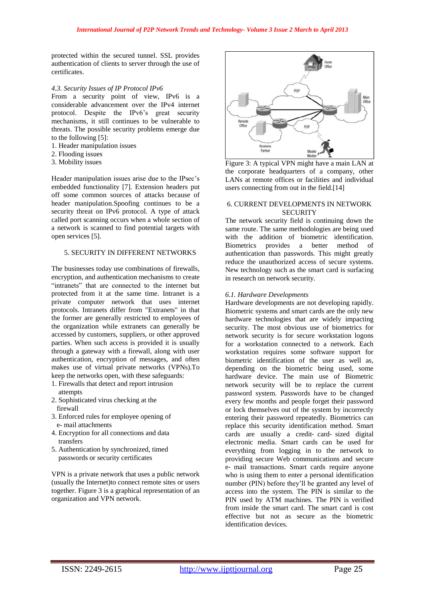protected within the secured tunnel. SSL provides authentication of clients to server through the use of certificates.

## *4.3. Security Issues of IP Protocol IPv6*

From a security point of view, IPv6 is a considerable advancement over the IPv4 internet protocol. Despite the IPv6's great security mechanisms, it still continues to be vulnerable to threats. The possible security problems emerge due to the following [5]:

- 1. Header manipulation issues
- 2. Flooding issues
- 3. Mobility issues

Header manipulation issues arise due to the IPsec's embedded functionality [7]. Extension headers put off some common sources of attacks because of header manipulation.Spoofing continues to be a security threat on IPv6 protocol. A type of attack called port scanning occurs when a whole section of a network is scanned to find potential targets with open services [5].

### 5. SECURITY IN DIFFERENT NETWORKS

The businesses today use combinations of firewalls, encryption, and authentication mechanisms to create "intranets" that are connected to the internet but protected from it at the same time. Intranet is a private computer network that uses internet protocols. Intranets differ from "Extranets" in that the former are generally restricted to employees of the organization while extranets can generally be accessed by customers, suppliers, or other approved parties. When such access is provided it is usually through a gateway with a firewall, along with user authentication, encryption of messages, and often makes use of virtual private networks (VPNs).To keep the networks open, with these safeguards:

- 1. Firewalls that detect and report intrusion attempts
- 2. Sophisticated virus checking at the firewall
- 3. Enforced rules for employee opening of e- mail attachments
- 4. Encryption for all connections and data transfers
- 5. Authentication by synchronized, timed passwords or security certificates

VPN is a private network that uses a public network (usually the Internet)to connect remote sites or users together. Figure 3 is a graphical representation of an organization and VPN network.



Figure 3: A typical VPN might have a main LAN at the corporate headquarters of a company, other LANs at remote offices or facilities and individual users connecting from out in the field.[14]

# 6. CURRENT DEVELOPMENTS IN NETWORK **SECURITY**

The network security field is continuing down the same route. The same methodologies are being used with the addition of biometric identification.<br>Biometrics provides a better method of Biometrics provides a better method of authentication than passwords. This might greatly reduce the unauthorized access of secure systems. New technology such as the smart card is surfacing in research on network security.

## *6.1. Hardware Developments*

Hardware developments are not developing rapidly. Biometric systems and smart cards are the only new hardware technologies that are widely impacting security. The most obvious use of biometrics for network security is for secure workstation logons for a workstation connected to a network. Each workstation requires some software support for biometric identification of the user as well as, depending on the biometric being used, some hardware device. The main use of Biometric network security will be to replace the current password system. Passwords have to be changed every few months and people forget their password or lock themselves out of the system by incorrectly entering their password repeatedly. Biometrics can replace this security identification method. Smart cards are usually a credit‐ card‐ sized digital electronic media. Smart cards can be used for everything from logging in to the network to providing secure Web communications and secure e‐ mail transactions. Smart cards require anyone who is using them to enter a personal identification number (PIN) before they'll be granted any level of access into the system. The PIN is similar to the PIN used by ATM machines. The PIN is verified from inside the smart card. The smart card is cost effective but not as secure as the biometric identification devices.